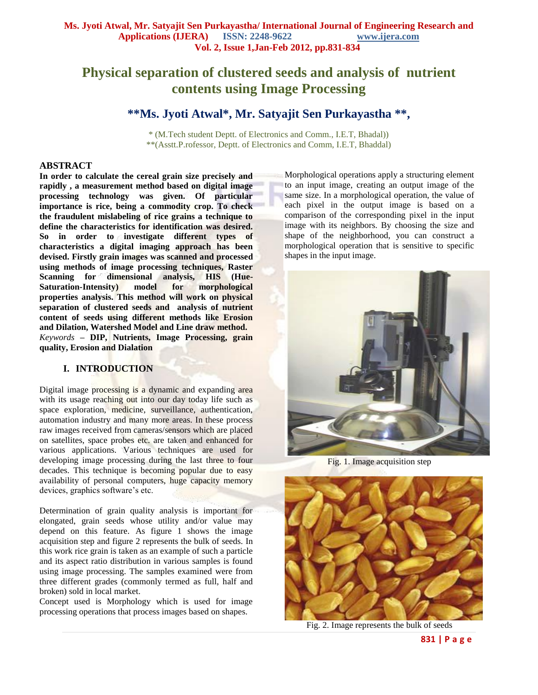# **Physical separation of clustered seeds and analysis of nutrient contents using Image Processing**

# **\*\*Ms. Jyoti Atwal\*, Mr. Satyajit Sen Purkayastha \*\*,**

\* (M.Tech student Deptt. of Electronics and Comm., I.E.T, Bhadal)) \*\*(Asstt.P.rofessor, Deptt. of Electronics and Comm, I.E.T, Bhaddal)

#### **ABSTRACT**

**In order to calculate the cereal grain size precisely and rapidly , a measurement method based on digital image processing technology was given. Of particular importance is rice, being a commodity crop. To check the fraudulent mislabeling of rice grains a technique to define the characteristics for identification was desired. So in order to investigate different types of characteristics a digital imaging approach has been devised. Firstly grain images was scanned and processed using methods of image processing techniques, Raster Scanning for dimensional analysis, HIS (Hue-Saturation-Intensity) model for morphological properties analysis. This method will work on physical separation of clustered seeds and analysis of nutrient content of seeds using different methods like Erosion and Dilation, Watershed Model and Line draw method.** *Keywords* **– DIP, Nutrients, Image Processing, grain quality, Erosion and Dialation**

### **I. INTRODUCTION**

Digital image processing is a dynamic and expanding area with its usage reaching out into our day today life such as space exploration, medicine, surveillance, authentication, automation industry and many more areas. In these process raw images received from cameras/sensors which are placed on satellites, space probes etc. are taken and enhanced for various applications. Various techniques are used for developing image processing during the last three to four decades. This technique is becoming popular due to easy availability of personal computers, huge capacity memory devices, graphics software's etc.

Determination of grain quality analysis is important for elongated, grain seeds whose utility and/or value may depend on this feature. As figure 1 shows the image acquisition step and figure 2 represents the bulk of seeds. In this work rice grain is taken as an example of such a particle and its aspect ratio distribution in various samples is found using image processing. The samples examined were from three different grades (commonly termed as full, half and broken) sold in local market.

Concept used is Morphology which is used for image processing operations that process images based on shapes.

Morphological operations apply a structuring element to an input image, creating an output image of the same size. In a morphological operation, the value of each pixel in the output image is based on a comparison of the corresponding pixel in the input image with its neighbors. By choosing the size and shape of the neighborhood, you can construct a morphological operation that is sensitive to specific shapes in the input image.



Fig. 1. Image acquisition step



Fig. 2. Image represents the bulk of seeds

**831 | P a g e**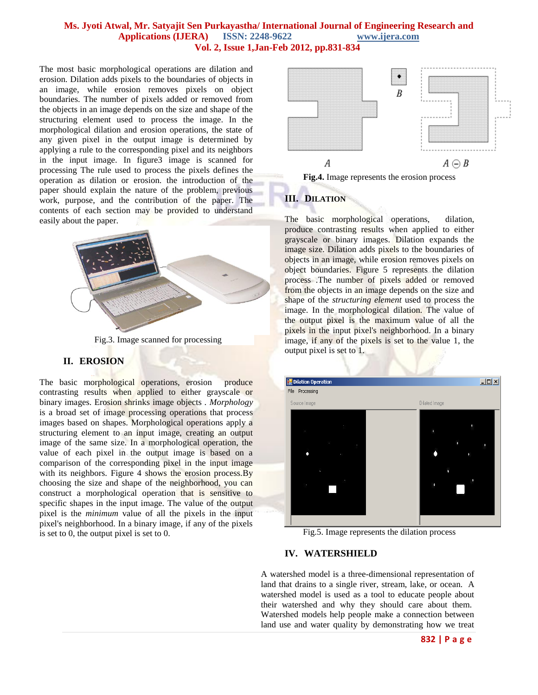#### **Ms. Jyoti Atwal, Mr. Satyajit Sen Purkayastha/ International Journal of Engineering Research and Applications (IJERA) ISSN: 2248-9622 www.ijera.com Vol. 2, Issue 1,Jan-Feb 2012, pp.831-834**

The most basic morphological operations are dilation and erosion. Dilation adds pixels to the boundaries of objects in an image, while erosion removes pixels on object boundaries. The number of pixels added or removed from the objects in an image depends on the size and shape of the structuring element used to process the image. In the morphological dilation and erosion operations, the state of any given pixel in the output image is determined by applying a rule to the corresponding pixel and its neighbors in the input image. In figure3 image is scanned for processing The rule used to process the pixels defines the operation as dilation or erosion. the introduction of the paper should explain the nature of the problem, previous work, purpose, and the contribution of the paper. The contents of each section may be provided to understand easily about the paper.



Fig.3. Image scanned for processing

#### **II. EROSION**

The basic morphological operations, erosion produce contrasting results when applied to either grayscale or binary images. Erosion shrinks image objects . *Morphology* is a broad set of image processing operations that process images based on shapes. Morphological operations apply a structuring element to an input image, creating an output image of the same size. In a morphological operation, the value of each pixel in the output image is based on a comparison of the corresponding pixel in the input image with its neighbors. Figure 4 shows the erosion process. By choosing the size and shape of the neighborhood, you can construct a morphological operation that is sensitive to specific shapes in the input image. The value of the output pixel is the *minimum* value of all the pixels in the input pixel's neighborhood. In a binary image, if any of the pixels is set to 0, the output pixel is set to 0.



**Fig.4.** Image represents the erosion process

## **III. DILATION**

The basic morphological operations, dilation, produce contrasting results when applied to either grayscale or binary images. Dilation expands the image size. Dilation adds pixels to the boundaries of objects in an image, while erosion removes pixels on object boundaries. Figure 5 represents the dilation process .The number of pixels added or removed from the objects in an image depends on the size and shape of the *structuring element* used to process the image. In the morphological dilation. The value of the output pixel is the maximum value of all the pixels in the input pixel's neighborhood. In a binary image, if any of the pixels is set to the value 1, the output pixel is set to 1.



Fig.5. Image represents the dilation process

#### **IV. WATERSHIELD**

A watershed model is a three-dimensional representation of land that drains to a single river, stream, lake, or ocean. A watershed model is used as a tool to educate people about their watershed and why they should care about them. Watershed models help people make a connection between land use and water quality by demonstrating how we treat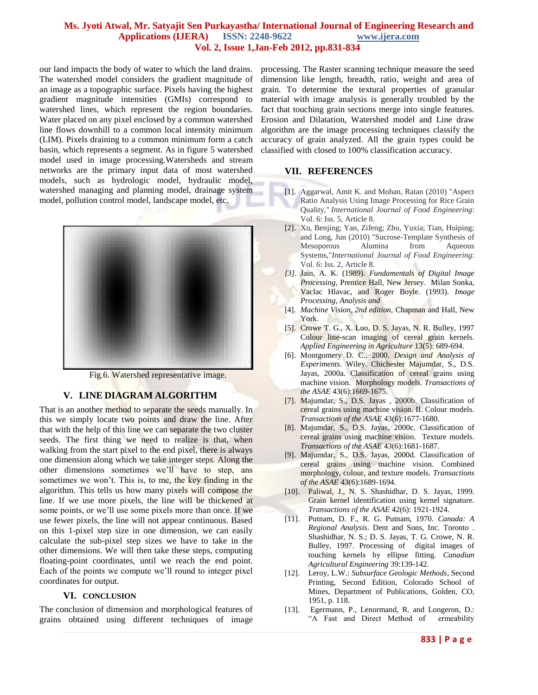#### **Ms. Jyoti Atwal, Mr. Satyajit Sen Purkayastha/ International Journal of Engineering Research and Applications (IJERA) ISSN: 2248-9622 www.ijera.com Vol. 2, Issue 1,Jan-Feb 2012, pp.831-834**

our land impacts the body of water to which the land drains. The watershed model considers the gradient magnitude of an image as a topographic surface. Pixels having the highest gradient magnitude intensities (GMIs) correspond to watershed lines, which represent the region boundaries. Water placed on any pixel enclosed by a common watershed line flows downhill to a common local intensity minimum (LIM). Pixels draining to a common minimum form a catch basin, which represents a segment. As in figure 5 watershed model used in image processing.Watersheds and stream networks are the primary input data of most watershed models, such as hydrologic model, hydraulic model, watershed managing and planning model, drainage system model, pollution control model, landscape model, etc.



Fig.6. Watershed representative image.

#### **V. LINE DIAGRAM ALGORITHM**

That is an another method to separate the seeds manually. In this we simply locate two points and draw the line. After that with the help of this line we can separate the two cluster seeds. The first thing we need to realize is that, when walking from the start pixel to the end pixel, there is always one dimension along which we take integer steps. Along the other dimensions sometimes we'll have to step, ans sometimes we won't. This is, to me, the key finding in the algorithm. This tells us how many pixels will compose the line. If we use more pixels, the line will be thickened at some points, or we'll use some pixels more than once. If we use fewer pixels, the line will not appear continuous. Based on this 1-pixel step size in one dimension, we can easily calculate the sub-pixel step sizes we have to take in the other dimensions. We will then take these steps, computing floating-point coordinates, until we reach the end point. Each of the points we compute we'll round to integer pixel coordinates for output.

#### **VI. CONCLUSION**

The conclusion of dimension and morphological features of grains obtained using different techniques of image processing. The Raster scanning technique measure the seed dimension like length, breadth, ratio, weight and area of grain. To determine the textural properties of granular material with image analysis is generally troubled by the fact that touching grain sections merge into single features. Erosion and Dilatation, Watershed model and Line draw algorithm are the image processing techniques classify the accuracy of grain analyzed. All the grain types could be classified with closed to 100% classification accuracy.

#### **VII. REFERENCES**

- [1]. Aggarwal, Amit K. and Mohan, Ratan (2010) "Aspect Ratio Analysis Using Image Processing for Rice Grain Quality," *International Journal of Food Engineering*: Vol. 6: Iss. 5, Article 8.
- [2]. Xu, Benjing; Yan, Zifeng; Zhu, Yuxia; Tian, Huiping; and Long, Jun (2010) "Sucrose-Template Synthesis of Mesoporous Alumina from Aqueous Systems,"*International Journal of Food Engineering*: Vol. 6: Iss. 2, Article 8.
- *[3].* Jain, A. K. (1989). *Fundamentals of Digital Image Processing,* Prentice Hall, New Jersey. Milan Sonka, Vaclac Hlavac, and Roger Boyle. (1993). *Image Processing, Analysis and*
- [4]. *Machine Vision, 2nd edition,* Chapman and Hall, New York.
- [5]. Crowe T. G., X. Luo, D. S. Jayas, N. R. Bulley, 1997 Colour line-scan imaging of cereal grain kernels. *Applied Engineering in Agriculture* 13(5): 689-694.
- [6]. Montgomery D. C., 2000. *Design and Analysis of Experiments*. Wiley. Chichester Majumdar, S., D.S. Jayas, 2000a. Classification of cereal grains using machine vision. Morphology models. *Transactions of the ASAE* 43(6):1669-1675.
- [7]. Majumdar, S., D.S. Jayas , 2000b. Classification of cereal grains using machine vision. II. Colour models. *Transactions of the ASAE* 43(6):1677-1680.
- [8]. Majumdar, S., D.S. Jayas, 2000c. Classification of cereal grains using machine vision. Texture models. *Transactions of the ASAE* 43(6):1681-1687.
- [9]. Majumdar, S., D.S. Jayas, 2000d. Classification of cereal grains using machine vision. Combined morphology, colour, and texture models. *Transactions of the ASAE* 43(6):1689-1694.
- [10]. Paliwal, J., N. S. Shashidhar, D. S. Jayas, 1999. Grain kernel identification using kernel signature. *Transactions of the ASAE* 42(6): 1921-1924.
- [11]. Putnam, D. F., R. G. Putnam, 1970. *Canada: A Regional Analysis*. Dent and Sons, Inc. Toronto . Shashidhar, N. S.; D. S. Jayas, T. G. Crowe, N. R. Bulley, 1997. Processing of digital images of touching kernels by ellipse fitting. *Canadian Agricultural Engineering* 39:139-142.
- [12]. Leroy, L.W.: *Subsurface Geologic Methods*, Second Printing, Second Edition, Colorado School of Mines, Department of Publications, Golden, CO, 1951, p. 118.
- [13]. Egermann, P., Lenormand, R. and Longeron, D.: "A Fast and Direct Method of ermeability